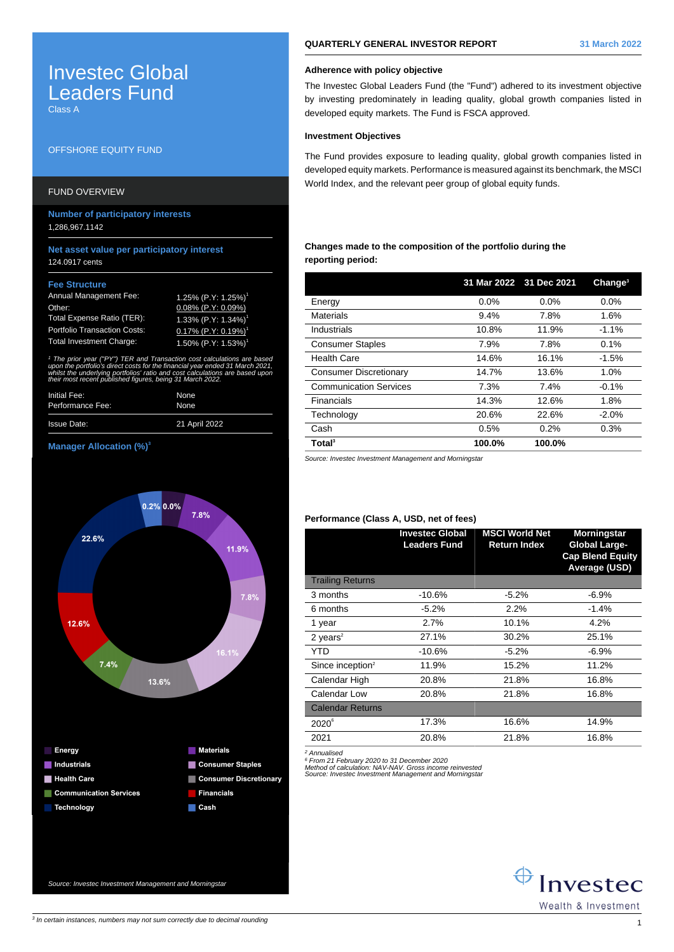# Investec Global Leaders Fund

Class A

# OFFSHORE EQUITY FUND

## FUND OVERVIEW

**Number of participatory interests** 1,286,967.1142

## **Net asset value per participatory interest** 124.0917 cents

#### **Fee Structure**

| <b>Annual Management Fee:</b>       | 1.25% (P.Y: 1.25%) <sup>1</sup>    |
|-------------------------------------|------------------------------------|
| Other:                              | $0.08\%$ (P.Y: 0.09%)              |
| Total Expense Ratio (TER):          | $1.33\%$ (P.Y: 1.34%) <sup>1</sup> |
| <b>Portfolio Transaction Costs:</b> | $0.17\%$ (P.Y: 0.19%) <sup>1</sup> |
| <b>Total Investment Charge:</b>     | $1.50\%$ (P.Y: 1.53%) <sup>1</sup> |

1 The prior year ("PY") TER and Transaction cost calculations are based upon the portfolio's direct costs for the financial year ended 31 March 2021, whilst the underlying portfolios' ratio and cost calculations are based upor. their most recent published figures, being 31 March 2022.

| Initial Fee:       | None          |
|--------------------|---------------|
| Performance Fee:   | None          |
| <b>Issue Date:</b> | 21 April 2022 |

## **Manager Allocation (%)<sup>3</sup>**



Source: Investec Investment Management and Morningstar

## **QUARTERLY GENERAL INVESTOR REPORT 31 March 2022**

The Investec Global Leaders Fund (the "Fund") adhered to its investment objective by investing predominately in leading quality, global growth companies listed in developed equity markets. The Fund is FSCA approved.

## **Investment Objectives**

The Fund provides exposure to leading quality, global growth companies listed in developed equity markets. Performance is measured against its benchmark, the MSCI World Index, and the relevant peer group of global equity funds.

## **Changes made to the composition of the portfolio during the reporting period:**

|                               | 31 Mar 2022 31 Dec 2021 |        | Change <sup>3</sup> |
|-------------------------------|-------------------------|--------|---------------------|
| Energy                        | 0.0%                    | 0.0%   | 0.0%                |
| <b>Materials</b>              | 9.4%                    | 7.8%   | 1.6%                |
| Industrials                   | 10.8%                   | 11.9%  | $-1.1\%$            |
| <b>Consumer Staples</b>       | 7.9%                    | 7.8%   | 0.1%                |
| Health Care                   | 14.6%                   | 16.1%  | $-1.5%$             |
| <b>Consumer Discretionary</b> | 14.7%                   | 13.6%  | 1.0%                |
| <b>Communication Services</b> | 7.3%                    | 7.4%   | $-0.1%$             |
| Financials                    | 14.3%                   | 12.6%  | 1.8%                |
| Technology                    | 20.6%                   | 22.6%  | $-2.0%$             |
| Cash                          | 0.5%                    | 0.2%   | 0.3%                |
| Total <sup>3</sup>            | 100.0%                  | 100.0% |                     |

Source: Investec Investment Management and Morningstar

## **Performance (Class A, USD, net of fees)**

|                              | <b>Investec Global</b><br><b>Leaders Fund</b> | <b>MSCI World Net</b><br><b>Return Index</b> | <b>Morningstar</b><br><b>Global Large-</b><br><b>Cap Blend Equity</b><br>Average (USD) |
|------------------------------|-----------------------------------------------|----------------------------------------------|----------------------------------------------------------------------------------------|
| <b>Trailing Returns</b>      |                                               |                                              |                                                                                        |
| 3 months                     | $-10.6%$                                      | $-5.2%$                                      | $-6.9%$                                                                                |
| 6 months                     | $-5.2%$                                       | 2.2%                                         | $-1.4%$                                                                                |
| 1 year                       | 2.7%                                          | 10.1%                                        | 4.2%                                                                                   |
| 2 years $2$                  | 27.1%                                         | 30.2%                                        | 25.1%                                                                                  |
| YTD                          | $-10.6%$                                      | $-5.2\%$                                     | $-6.9%$                                                                                |
| Since inception <sup>2</sup> | 11.9%                                         | 15.2%                                        | 11.2%                                                                                  |
| Calendar High                | 20.8%                                         | 21.8%                                        | 16.8%                                                                                  |
| Calendar Low                 | 20.8%                                         | 21.8%                                        | 16.8%                                                                                  |
| <b>Calendar Returns</b>      |                                               |                                              |                                                                                        |
| $2020^{\circ}$               | 17.3%                                         | 16.6%                                        | 14.9%                                                                                  |
| 2021                         | 20.8%                                         | 21.8%                                        | 16.8%                                                                                  |

<sup>2</sup> Annualised<br><sup>6</sup> From 21 February 2020 to 31 December 2020<br>Method of calculation: NAV-NAV. Gross income reinvested<br>Source: Investec Investment Management and Morningstal